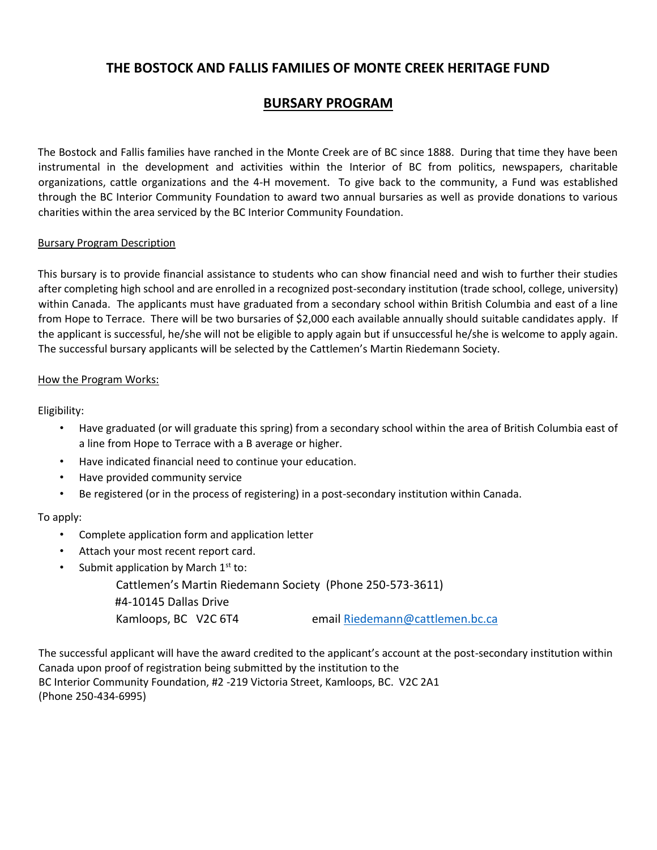# **THE BOSTOCK AND FALLIS FAMILIES OF MONTE CREEK HERITAGE FUND**

# **BURSARY PROGRAM**

The Bostock and Fallis families have ranched in the Monte Creek are of BC since 1888. During that time they have been instrumental in the development and activities within the Interior of BC from politics, newspapers, charitable organizations, cattle organizations and the 4-H movement. To give back to the community, a Fund was established through the BC Interior Community Foundation to award two annual bursaries as well as provide donations to various charities within the area serviced by the BC Interior Community Foundation.

### Bursary Program Description

This bursary is to provide financial assistance to students who can show financial need and wish to further their studies after completing high school and are enrolled in a recognized post-secondary institution (trade school, college, university) within Canada. The applicants must have graduated from a secondary school within British Columbia and east of a line from Hope to Terrace. There will be two bursaries of \$2,000 each available annually should suitable candidates apply. If the applicant is successful, he/she will not be eligible to apply again but if unsuccessful he/she is welcome to apply again. The successful bursary applicants will be selected by the Cattlemen's Martin Riedemann Society.

### How the Program Works:

Eligibility:

- Have graduated (or will graduate this spring) from a secondary school within the area of British Columbia east of a line from Hope to Terrace with a B average or higher.
- Have indicated financial need to continue your education.
- Have provided community service
- Be registered (or in the process of registering) in a post-secondary institution within Canada.

## To apply:

- Complete application form and application letter
- Attach your most recent report card.
- Submit application by March  $1<sup>st</sup>$  to:

Cattlemen's Martin Riedemann Society (Phone 250-573-3611)

#4-10145 Dallas Drive

Kamloops, BC V2C 6T4 email [Riedemann@cattlemen.bc.ca](mailto:Riedemann@cattlemen.bc.ca)

The successful applicant will have the award credited to the applicant's account at the post-secondary institution within Canada upon proof of registration being submitted by the institution to the BC Interior Community Foundation, #2 -219 Victoria Street, Kamloops, BC. V2C 2A1 (Phone 250-434-6995)